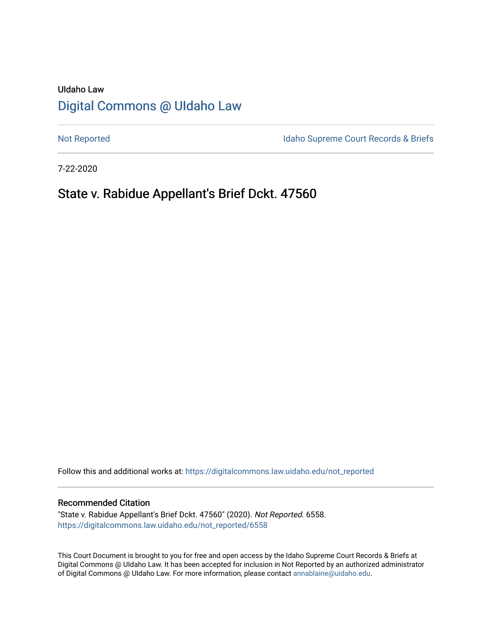# UIdaho Law [Digital Commons @ UIdaho Law](https://digitalcommons.law.uidaho.edu/)

[Not Reported](https://digitalcommons.law.uidaho.edu/not_reported) **Idaho Supreme Court Records & Briefs** 

7-22-2020

# State v. Rabidue Appellant's Brief Dckt. 47560

Follow this and additional works at: [https://digitalcommons.law.uidaho.edu/not\\_reported](https://digitalcommons.law.uidaho.edu/not_reported?utm_source=digitalcommons.law.uidaho.edu%2Fnot_reported%2F6558&utm_medium=PDF&utm_campaign=PDFCoverPages) 

#### Recommended Citation

"State v. Rabidue Appellant's Brief Dckt. 47560" (2020). Not Reported. 6558. [https://digitalcommons.law.uidaho.edu/not\\_reported/6558](https://digitalcommons.law.uidaho.edu/not_reported/6558?utm_source=digitalcommons.law.uidaho.edu%2Fnot_reported%2F6558&utm_medium=PDF&utm_campaign=PDFCoverPages)

This Court Document is brought to you for free and open access by the Idaho Supreme Court Records & Briefs at Digital Commons @ UIdaho Law. It has been accepted for inclusion in Not Reported by an authorized administrator of Digital Commons @ UIdaho Law. For more information, please contact [annablaine@uidaho.edu](mailto:annablaine@uidaho.edu).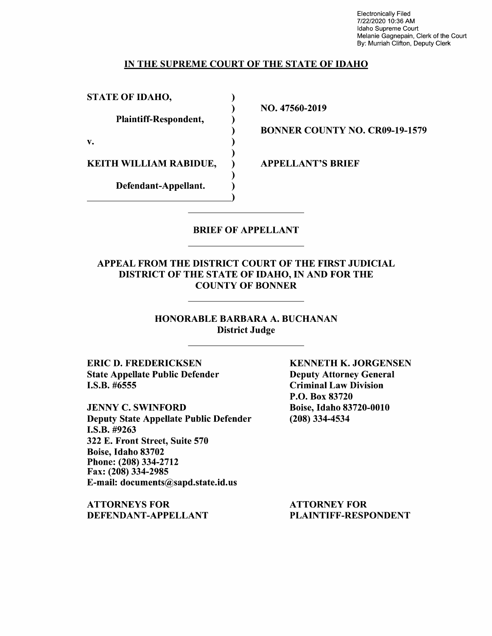Electronically Filed 7/22/2020 10:36 AM Idaho Supreme Court Melanie Gagnepain, Clerk of the Court By: Murriah Clifton, Deputy Clerk

## IN THE SUPREME COURT OF THE STATE OF IDAHO

)

)

)

)

STATE OF IDAHO,

Plaintiff-Respondent, )

 $\mathbf{v.}$  )

KEITH WILLIAM RABIDUE,

Defendant-Appellant. Defendant-Appellant. NO. 47560-2019

BONNER COUNTY NO. CR09-19-1579

APPELLANT'S BRIEF

# BRIEF OF APPELLANT

## APPEAL FROM THE DISTRICT COURT OF THE FIRST JUDICIAL DISTRICT OF THE STATE OF IDAHO, IN AND FOR THE COUNTY OF BONNER

HONORABLE BARBARA A. BUCHANAN District Judge

ERIC D. FREDERICKSEN State Appellate Public Defender I.S.B. #6555

JENNY C. SWINFORD Deputy State Appellate Public Defender **I.S.B.** #9263 322 E. Front Street, Suite 570 Boise, Idaho 83702 Phone:(208)334-2712 Fax: (208) 334-2985 E-mail: documents@sapd.state.id.us

**ATTORNEYS FOR DEFENDANT-APPELLANT**  **KENNETH K. JORGENSEN**  Deputy Attorney General Criminal Law Division P.O. Box 83720 Boise, Idaho 83720-0010 (208) 334-4534

ATTORNEY FOR PLAINTIFF-RESPONDENT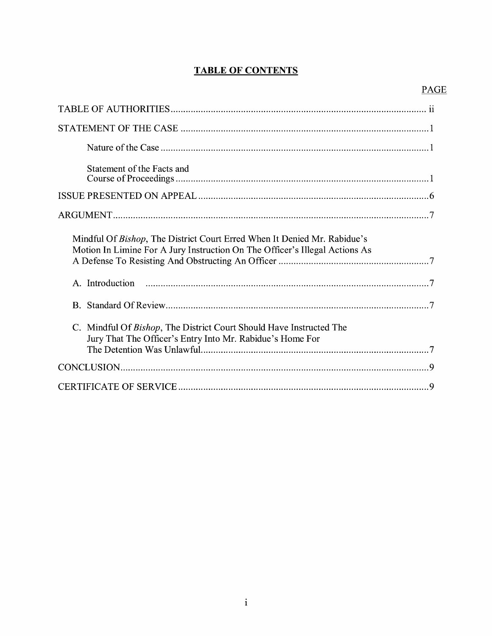# **TABLE OF CONTENTS**

| Statement of the Facts and                                                                                                                              |
|---------------------------------------------------------------------------------------------------------------------------------------------------------|
|                                                                                                                                                         |
|                                                                                                                                                         |
| Mindful Of Bishop, The District Court Erred When It Denied Mr. Rabidue's<br>Motion In Limine For A Jury Instruction On The Officer's Illegal Actions As |
|                                                                                                                                                         |
|                                                                                                                                                         |
| C. Mindful Of Bishop, The District Court Should Have Instructed The<br>Jury That The Officer's Entry Into Mr. Rabidue's Home For                        |
|                                                                                                                                                         |
|                                                                                                                                                         |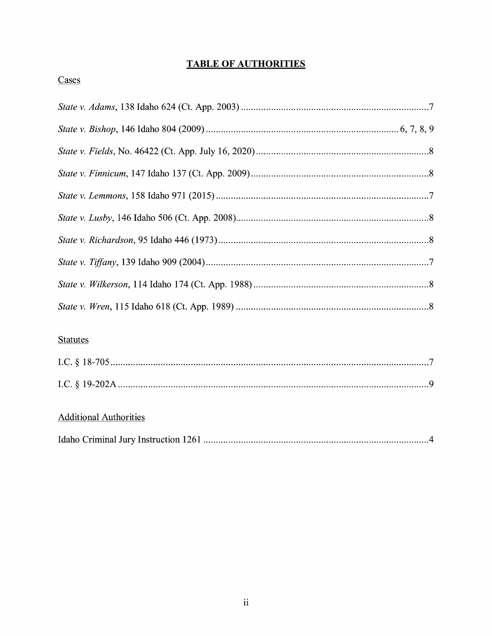# **TABLE OF AUTHORITIES**

# Cases

# **Statutes**

# **Additional Authorities**

|--|--|--|--|--|--|--|--|--|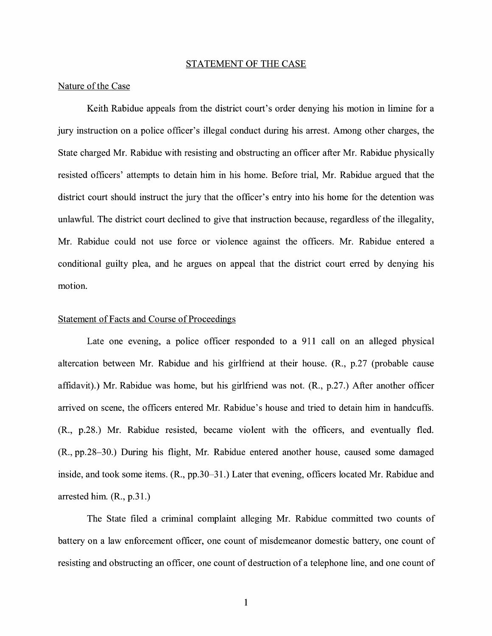#### STATEMENT OF THE CASE

#### Nature of the Case

Keith Rabidue appeals from the district court's order denying his motion in limine for a jury instruction on a police officer's illegal conduct during his arrest. Among other charges, the State charged Mr. Rabidue with resisting and obstructing an officer after Mr. Rabidue physically resisted officers' attempts to detain him in his home. Before trial, Mr. Rabidue argued that the district court should instruct the jury that the officer's entry into his home for the detention was unlawful. The district court declined to give that instruction because, regardless of the illegality, Mr. Rabidue could not use force or violence against the officers. Mr. Rabidue entered a conditional guilty plea, and he argues on appeal that the district court erred by denying his motion.

#### Statement of Facts and Course of Proceedings

Late one evening, a police officer responded to a 911 call on an alleged physical altercation between Mr. Rabidue and his girlfriend at their house. (R., p.27 (probable cause affidavit).) Mr. Rabidue was home, but his girlfriend was not. (R., p.27.) After another officer arrived on scene, the officers entered Mr. Rabidue's house and tried to detain him in handcuffs. (R., p.28.) Mr. Rabidue resisted, became violent with the officers, and eventually fled. (R., pp.28-30.) During his flight, Mr. Rabidue entered another house, caused some damaged inside, and took some items. (R., pp.30-31.) Later that evening, officers located Mr. Rabidue and arrested him. (R., p.31.)

The State filed a criminal complaint alleging Mr. Rabidue committed two counts of battery on a law enforcement officer, one count of misdemeanor domestic battery, one count of resisting and obstructing an officer, one count of destruction of a telephone line, and one count of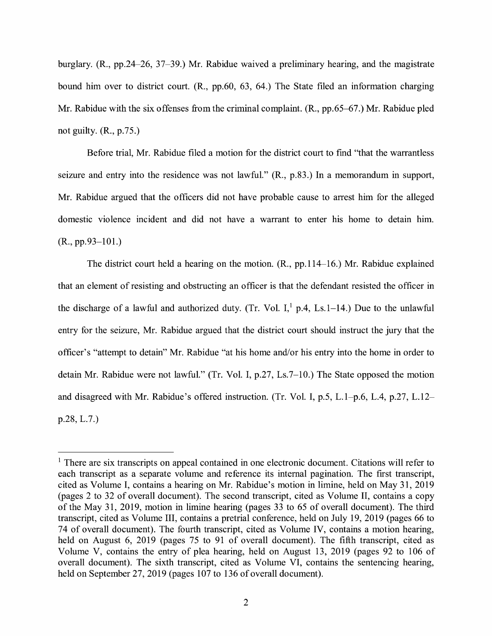burglary. (R., pp.24-26, 37-39.) Mr. Rabidue waived a preliminary hearing, and the magistrate bound him over to district court. (R., pp.60, 63, 64.) The State filed an information charging Mr. Rabidue with the six offenses from the criminal complaint. (R., pp.65-67.) Mr. Rabidue pled not guilty. (R., p.75.)

Before trial, Mr. Rabidue filed a motion for the district court to find "that the warrantless seizure and entry into the residence was not lawful." (R., p.83.) In a memorandum in support, Mr. Rabidue argued that the officers did not have probable cause to arrest him for the alleged domestic violence incident and did not have a warrant to enter his home to detain him. (R., pp.93-101.)

The district court held a hearing on the motion. (R., pp.114-16.) Mr. Rabidue explained that an element of resisting and obstructing an officer is that the defendant resisted the officer in the discharge of a lawful and authorized duty. (Tr. Vol.  $I<sub>i</sub><sup>1</sup>$  p.4, Ls.1-14.) Due to the unlawful entry for the seizure, Mr. Rabidue argued that the district court should instruct the jury that the officer's "attempt to detain" Mr. Rabidue "at his home and/or his entry into the home in order to detain Mr. Rabidue were not lawful." (Tr. Vol. I, p.27, Ls.7-10.) The State opposed the motion and disagreed with Mr. Rabidue's offered instruction. (Tr. Vol. I, p.5, L.1-p.6, L.4, p.27, L.12 p.28, L.7.)

<sup>&</sup>lt;sup>1</sup> There are six transcripts on appeal contained in one electronic document. Citations will refer to each transcript as a separate volume and reference its internal pagination. The first transcript, cited as Volume I, contains a hearing on Mr. Rabidue's motion in limine, held on May 31, 2019 (pages 2 to 32 of overall document). The second transcript, cited as Volume II, contains a copy of the May 31, 2019, motion in limine hearing (pages 33 to 65 of overall document). The third transcript, cited as Volume III, contains a pretrial conference, held on July 19, 2019 (pages 66 to 74 of overall document). The fourth transcript, cited as Volume IV, contains a motion hearing, held on August 6, 2019 (pages 75 to 91 of overall document). The fifth transcript, cited as Volume V, contains the entry of plea hearing, held on August 13, 2019 (pages 92 to 106 of overall document). The sixth transcript, cited as Volume VI, contains the sentencing hearing, held on September 27, 2019 (pages 107 to 136 of overall document).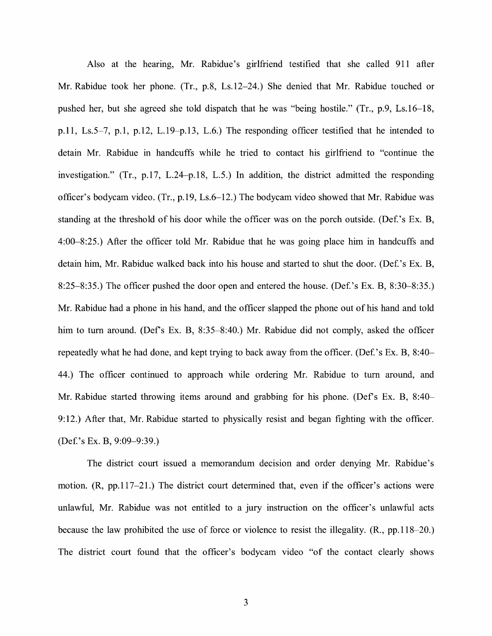Also at the hearing, Mr. Rabidue's girlfriend testified that she called 911 after Mr. Rabidue took her phone. (Tr., p.8, Ls.12-24.) She denied that Mr. Rabidue touched or pushed her, but she agreed she told dispatch that he was "being hostile." (Tr., p.9, Ls.16-18, p.11, Ls.5-7, p.1, p.12, L.19-p.13, L.6.) The responding officer testified that he intended to detain Mr. Rabidue in handcuffs while he tried to contact his girlfriend to "continue the investigation." (Tr., p.17, L.24-p.18, L.5.) In addition, the district admitted the responding officer's bodycam video. (Tr., p.19, Ls.6-12.) The bodycam video showed that Mr. Rabidue was standing at the threshold of his door while the officer was on the porch outside. (Def.'s Ex. B, 4:00-8:25.) After the officer told Mr. Rabidue that he was going place him in handcuffs and detain him, Mr. Rabidue walked back into his house and started to shut the door. (Def. 's Ex. B, 8:25–8:35.) The officer pushed the door open and entered the house. (Def.'s Ex. B, 8:30–8:35.) Mr. Rabidue had a phone in his hand, and the officer slapped the phone out of his hand and told him to turn around. (Def's Ex. B, 8:35–8:40.) Mr. Rabidue did not comply, asked the officer repeatedly what he had done, and kept trying to back away from the officer. (Def.'s Ex. B, 8:40– 44.) The officer continued to approach while ordering Mr. Rabidue to tum around, and Mr. Rabidue started throwing items around and grabbing for his phone. (Def's Ex. B, 8:40– 9:12.) After that, Mr. Rabidue started to physically resist and began fighting with the officer. (Def 's Ex. B, 9:09-9:39.)

The district court issued a memorandum decision and order denying Mr. Rabidue's motion. (R, pp.117-21.) The district court determined that, even if the officer's actions were unlawful, Mr. Rabidue was not entitled to a jury instruction on the officer's unlawful acts because the law prohibited the use of force or violence to resist the illegality. (R., pp.118-20.) The district court found that the officer's bodycam video "of the contact clearly shows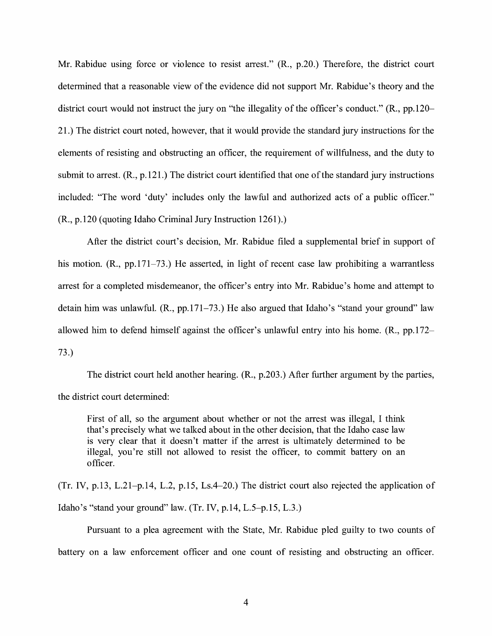Mr. Rabidue using force or violence to resist arrest." (R., p.20.) Therefore, the district court determined that a reasonable view of the evidence did not support Mr. Rabidue's theory and the district court would not instruct the jury on "the illegality of the officer's conduct." (R., pp.120- 21.) The district court noted, however, that it would provide the standard jury instructions for the elements of resisting and obstructing an officer, the requirement of willfulness, and the duty to submit to arrest. **(R.,** p.121.) The district court identified that one of the standard jury instructions included: "The word 'duty' includes only the lawful and authorized acts of a public officer." **(R.,** p.120 (quoting Idaho Criminal Jury Instruction 1261).)

After the district court's decision, Mr. Rabidue filed a supplemental brief in support of his motion. (R., pp.171–73.) He asserted, in light of recent case law prohibiting a warrantless arrest for a completed misdemeanor, the officer's entry into Mr. Rabidue's home and attempt to detain him was unlawful. **(R.,** pp.171-73.) He also argued that Idaho's "stand your ground" law allowed him to defend himself against the officer's unlawful entry into his home. **(R.,** pp.172- 73.)

The district court held another hearing. (R., p.203.) After further argument by the parties, the district court determined:

First of all, so the argument about whether or not the arrest was illegal, I think that's precisely what we talked about in the other decision, that the Idaho case law is very clear that it doesn't matter if the arrest is ultimately determined to be illegal, you're still not allowed to resist the officer, to commit battery on an officer.

(Tr. IV, p.13, L.21-p.14, L.2, p.15, Ls.4-20.) The district court also rejected the application of Idaho's "stand your ground" law. (Tr. IV, p.14, L.5-p.15, L.3.)

Pursuant to a plea agreement with the State, Mr. Rabidue pied guilty to two counts of battery on a law enforcement officer and one count of resisting and obstructing an officer.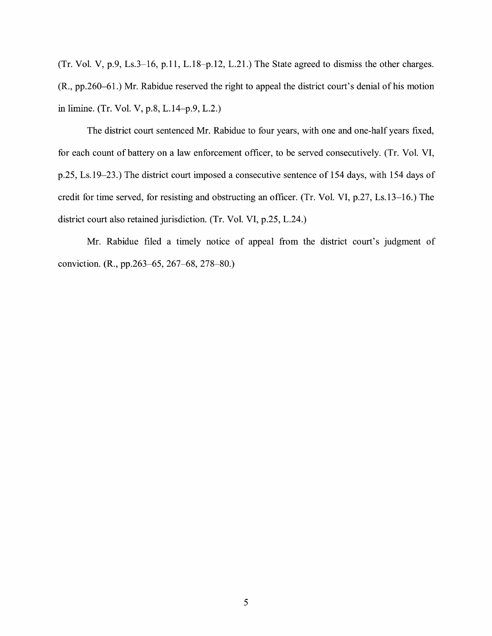(Tr. Vol. V, p.9, Ls.3-16, p.11, L.18-p.12, L.21.) The State agreed to dismiss the other charges. (R., pp.260-61.) Mr. Rabidue reserved the right to appeal the district court's denial of his motion in limine. (Tr. Vol. V, p.8, L.14-p.9, L.2.)

The district court sentenced Mr. Rabidue to four years, with one and one-half years fixed, for each count of battery on a law enforcement officer, to be served consecutively. (Tr. Vol. VI, p.25, Ls.19-23.) The district court imposed a consecutive sentence of 154 days, with 154 days of credit for time served, for resisting and obstructing an officer. (Tr. Vol. VI, p.27, Ls.13-16.) The district court also retained jurisdiction. (Tr. Vol. VI, p.25, L.24.)

Mr. Rabidue filed a timely notice of appeal from the district court's judgment of conviction. (R., pp.263-65, 267-68, 278-80.)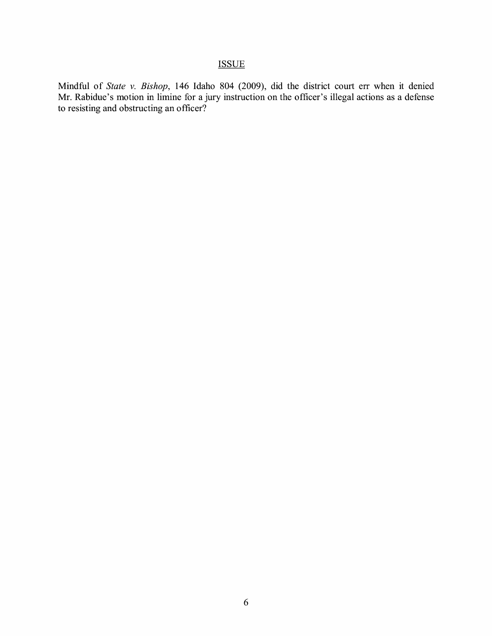# **ISSUE**

Mindful of *State v. Bishop,* 146 Idaho 804 (2009), did the district court err when it denied Mr. Rabidue's motion in limine for a jury instruction on the officer's illegal actions as a defense to resisting and obstructing an officer?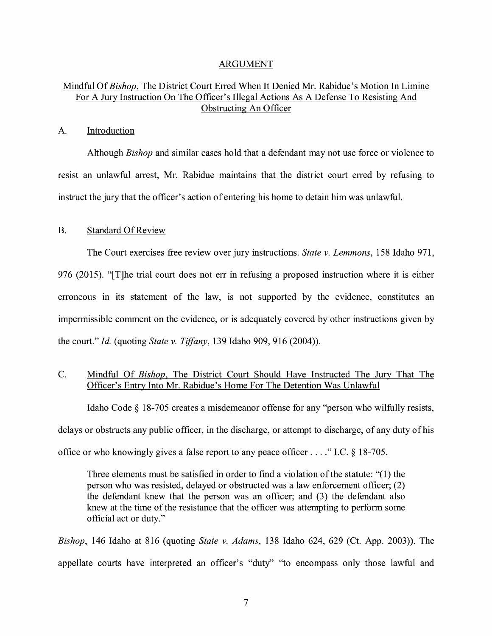### ARGUMENT

# Mindful Of *Bishop,* The District Court Erred When It Denied Mr. Rabidue's Motion In Limine For A Jury Instruction On The Officer's Illegal Actions As A Defense To Resisting And Obstructing An Officer

#### A. Introduction

Although *Bishop* and similar cases hold that a defendant may not use force or violence to resist an unlawful arrest, Mr. Rabidue maintains that the district court erred by refusing to instruct the jury that the officer's action of entering his home to detain him was unlawful.

### B. Standard Of Review

The Court exercises free review over jury instructions. *State v. Lemmons,* 158 Idaho 971, 976 (2015). "[T]he trial court does not err in refusing a proposed instruction where it is either erroneous in its statement of the law, is not supported by the evidence, constitutes an impermissible comment on the evidence, or is adequately covered by other instructions given by the court." *Id.* (quoting *State v. Tiffany,* 139 Idaho 909, 916 (2004)).

# C. Mindful Of *Bishop,* The District Court Should Have Instructed The Jury That The Officer's Entry Into Mr. Rabidue's Home For The Detention Was Unlawful

Idaho Code § 18-705 creates a misdemeanor offense for any "person who wilfully resists, delays or obstructs any public officer, in the discharge, or attempt to discharge, of any duty of his office or who knowingly gives a false report to any peace officer .... " I.C.  $\S$  18-705.

Three elements must be satisfied in order to find a violation of the statute: "(l) the person who was resisted, delayed or obstructed was a law enforcement officer; (2) the defendant knew that the person was an officer; and (3) the defendant also knew at the time of the resistance that the officer was attempting to perform some official act or duty."

*Bishop,* 146 Idaho at 816 (quoting *State v. Adams,* 138 Idaho 624, 629 (Ct. App. 2003)). The appellate courts have interpreted an officer's "duty" "to encompass only those lawful and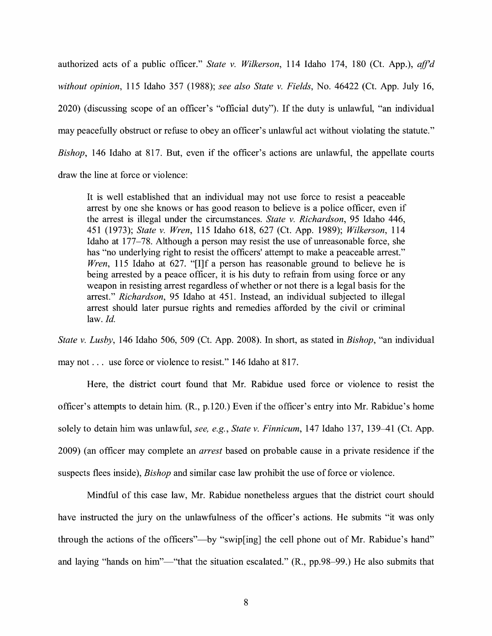authorized acts of a public officer." *State v. Wilkerson,* 114 Idaho 174, 180 (Ct. App.), *ajf'd without opinion,* 115 Idaho 357 (1988); *see also State v. Fields,* No. 46422 (Ct. App. July 16, 2020) (discussing scope of an officer's "official duty"). If the duty is unlawful, "an individual may peacefully obstruct or refuse to obey an officer's unlawful act without violating the statute." *Bishop,* 146 Idaho at 817. But, even if the officer's actions are unlawful, the appellate courts draw the line at force or violence:

It is well established that an individual may not use force to resist a peaceable arrest by one she knows or has good reason to believe is a police officer, even if the arrest is illegal under the circumstances. *State v. Richardson,* 95 Idaho 446, 451 (1973); *State v. Wren,* 115 Idaho 618, 627 (Ct. App. 1989); *Wilkerson,* 114 Idaho at 177-78. Although a person may resist the use of unreasonable force, she has "no underlying right to resist the officers' attempt to make a peaceable arrest." *Wren*, 115 Idaho at 627. "[I]f a person has reasonable ground to believe he is being arrested by a peace officer, it is his duty to refrain from using force or any weapon in resisting arrest regardless of whether or not there is a legal basis for the arrest." *Richardson,* 95 Idaho at 451. Instead, an individual subjected to illegal arrest should later pursue rights and remedies afforded by the civil or criminal law. *Id.* 

*State v. Lusby,* 146 Idaho 506, 509 (Ct. App. 2008). In short, as stated in *Bishop,* "an individual may not ... use force or violence to resist." 146 Idaho at 817.

Here, the district court found that Mr. Rabidue used force or violence to resist the officer's attempts to detain him. (R., p.120.) Even if the officer's entry into Mr. Rabidue's home solely to detain him was unlawful, *see, e.g.*, *State v. Finnicum*, 147 Idaho 137, 139–41 (Ct. App. 2009) (an officer may complete an *arrest* based on probable cause in a private residence if the suspects flees inside), *Bishop* and similar case law prohibit the use of force or violence.

Mindful of this case law, Mr. Rabidue nonetheless argues that the district court should have instructed the jury on the unlawfulness of the officer's actions. He submits "it was only through the actions of the officers"—by "swip[ing] the cell phone out of Mr. Rabidue's hand" and laying "hands on him"—"that the situation escalated."  $(R., pp.98–99.)$  He also submits that